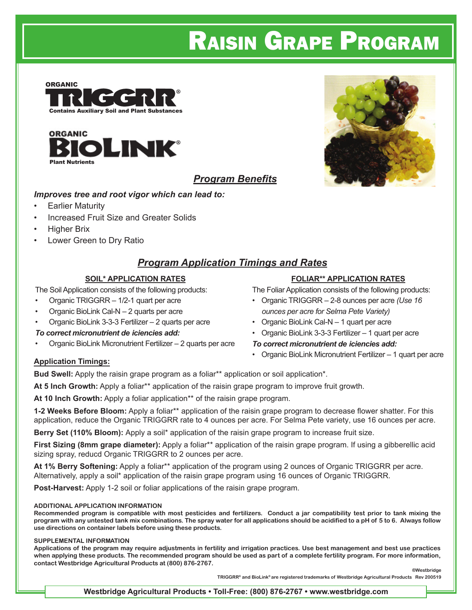# Raisin Grape Program





### *Program Benefits*

#### *Improves tree and root vigor which can lead to:*

- **Earlier Maturity**
- Increased Fruit Size and Greater Solids
- Higher Brix
- Lower Green to Dry Ratio

### *Program Application Timings and Rates*

#### **SOIL\* APPLICATION RATES**

The Soil Application consists of the following products:

- Organic TRIGGRR 1/2-1 quart per acre
- Organic BioLink Cal-N 2 quarts per acre
- Organic BioLink 3-3-3 Fertilizer 2 quarts per acre

#### *To correct micronutrient de iciencies add:*

• Organic BioLink Micronutrient Fertilizer – 2 quarts per acre



#### **FOLIAR\*\* APPLICATION RATES**

The Foliar Application consists of the following products:

- Organic TRIGGRR 2-8 ounces per acre *(Use 16 ounces per acre for Selma Pete Variety)*
- Organic BioLink Cal-N 1 quart per acre
- Organic BioLink 3-3-3 Fertilizer 1 quart per acre

#### *To correct micronutrient de iciencies add:*

• Organic BioLink Micronutrient Fertilizer – 1 quart per acre

#### **Application Timings:**

Bud Swell: Apply the raisin grape program as a foliar<sup>\*\*</sup> application or soil application<sup>\*</sup>.

**At 5 Inch Growth:** Apply a foliar\*\* application of the raisin grape program to improve fruit growth.

**At 10 Inch Growth:** Apply a foliar application\*\* of the raisin grape program.

**1-2 Weeks Before Bloom:** Apply a foliar\*\* application of the raisin grape program to decrease flower shatter. For this application, reduce the Organic TRIGGRR rate to 4 ounces per acre. For Selma Pete variety, use 16 ounces per acre.

**Berry Set (110% Bloom):** Apply a soil\* application of the raisin grape program to increase fruit size.

**First Sizing (8mm grape diameter):** Apply a foliar\*\* application of the raisin grape program. If using a gibberellic acid sizing spray, reducd Organic TRIGGRR to 2 ounces per acre.

**At 1% Berry Softening:** Apply a foliar\*\* application of the program using 2 ounces of Organic TRIGGRR per acre. Alternatively, apply a soil\* application of the raisin grape program using 16 ounces of Organic TRIGGRR.

**Post-Harvest:** Apply 1-2 soil or foliar applications of the raisin grape program.

#### **ADDITIONAL APPLICATION INFORMATION**

**Recommended program is compatible with most pesticides and fertilizers. Conduct a jar compatibility test prior to tank mixing the program with any untested tank mix combinations. The spray water for all applications should be acidified to a pH of 5 to 6. Always follow use directions on container labels before using these products.** 

#### **SUPPLEMENTAL INFORMATION**

**Applications of the program may require adjustments in fertility and irrigation practices. Use best management and best use practices when applying these products. The recommended program should be used as part of a complete fertility program. For more information, contact Westbridge Agricultural Products at (800) 876-2767. ®Westbridge**

**TRIGGRR® and BioLink® are registered trademarks of Westbridge Agricultural Products Rev 200519**